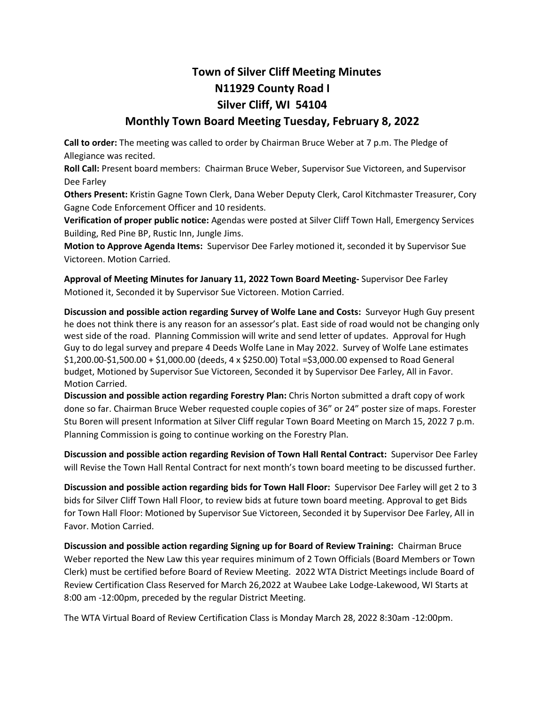## **Town of Silver Cliff Meeting Minutes N11929 County Road I Silver Cliff, WI 54104**

## **Monthly Town Board Meeting Tuesday, February 8, 2022**

**Call to order:** The meeting was called to order by Chairman Bruce Weber at 7 p.m. The Pledge of Allegiance was recited.

**Roll Call:** Present board members: Chairman Bruce Weber, Supervisor Sue Victoreen, and Supervisor Dee Farley

**Others Present:** Kristin Gagne Town Clerk, Dana Weber Deputy Clerk, Carol Kitchmaster Treasurer, Cory Gagne Code Enforcement Officer and 10 residents.

**Verification of proper public notice:** Agendas were posted at Silver Cliff Town Hall, Emergency Services Building, Red Pine BP, Rustic Inn, Jungle Jims.

**Motion to Approve Agenda Items:** Supervisor Dee Farley motioned it, seconded it by Supervisor Sue Victoreen. Motion Carried.

**Approval of Meeting Minutes for January 11, 2022 Town Board Meeting-** Supervisor Dee Farley Motioned it, Seconded it by Supervisor Sue Victoreen. Motion Carried.

**Discussion and possible action regarding Survey of Wolfe Lane and Costs:** Surveyor Hugh Guy present he does not think there is any reason for an assessor's plat. East side of road would not be changing only west side of the road. Planning Commission will write and send letter of updates. Approval for Hugh Guy to do legal survey and prepare 4 Deeds Wolfe Lane in May 2022. Survey of Wolfe Lane estimates \$1,200.00-\$1,500.00 + \$1,000.00 (deeds, 4 x \$250.00) Total =\$3,000.00 expensed to Road General budget, Motioned by Supervisor Sue Victoreen, Seconded it by Supervisor Dee Farley, All in Favor. Motion Carried.

**Discussion and possible action regarding Forestry Plan:** Chris Norton submitted a draft copy of work done so far. Chairman Bruce Weber requested couple copies of 36" or 24" poster size of maps. Forester Stu Boren will present Information at Silver Cliff regular Town Board Meeting on March 15, 2022 7 p.m. Planning Commission is going to continue working on the Forestry Plan.

**Discussion and possible action regarding Revision of Town Hall Rental Contract:** Supervisor Dee Farley will Revise the Town Hall Rental Contract for next month's town board meeting to be discussed further.

**Discussion and possible action regarding bids for Town Hall Floor:** Supervisor Dee Farley will get 2 to 3 bids for Silver Cliff Town Hall Floor, to review bids at future town board meeting. Approval to get Bids for Town Hall Floor: Motioned by Supervisor Sue Victoreen, Seconded it by Supervisor Dee Farley, All in Favor. Motion Carried.

**Discussion and possible action regarding Signing up for Board of Review Training:** Chairman Bruce Weber reported the New Law this year requires minimum of 2 Town Officials (Board Members or Town Clerk) must be certified before Board of Review Meeting. 2022 WTA District Meetings include Board of Review Certification Class Reserved for March 26,2022 at Waubee Lake Lodge-Lakewood, WI Starts at 8:00 am -12:00pm, preceded by the regular District Meeting.

The WTA Virtual Board of Review Certification Class is Monday March 28, 2022 8:30am -12:00pm.